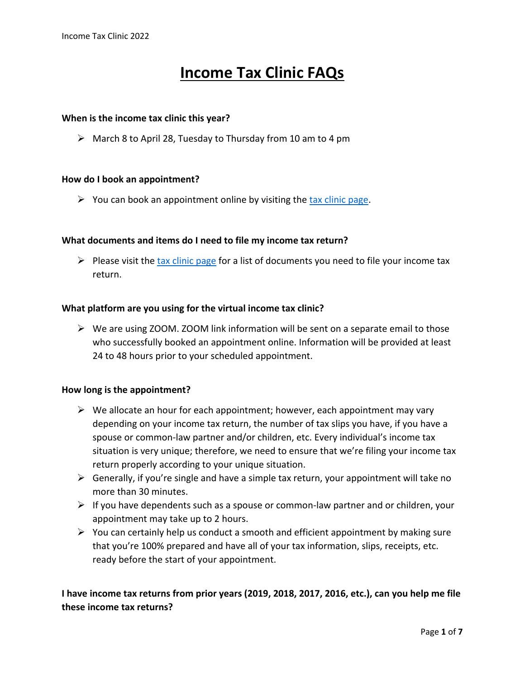# **Income Tax Clinic FAQs**

#### **When is the income tax clinic this year?**

 $\triangleright$  March 8 to April 28, Tuesday to Thursday from 10 am to 4 pm

#### **How do I book an appointment?**

 $\triangleright$  You can book an appointment online by visiting the [tax clinic page.](https://www.studentassociation.ca/tax-clinic/)

#### **What documents and items do I need to file my income tax return?**

 $\triangleright$  Please visit the [tax clinic page](https://www.studentassociation.ca/tax-clinic/) for a list of documents you need to file your income tax return.

#### **What platform are you using for the virtual income tax clinic?**

 $\triangleright$  We are using ZOOM. ZOOM link information will be sent on a separate email to those who successfully booked an appointment online. Information will be provided at least 24 to 48 hours prior to your scheduled appointment.

#### **How long is the appointment?**

- $\triangleright$  We allocate an hour for each appointment; however, each appointment may vary depending on your income tax return, the number of tax slips you have, if you have a spouse or common-law partner and/or children, etc. Every individual's income tax situation is very unique; therefore, we need to ensure that we're filing your income tax return properly according to your unique situation.
- $\triangleright$  Generally, if you're single and have a simple tax return, your appointment will take no more than 30 minutes.
- $\triangleright$  If you have dependents such as a spouse or common-law partner and or children, your appointment may take up to 2 hours.
- $\triangleright$  You can certainly help us conduct a smooth and efficient appointment by making sure that you're 100% prepared and have all of your tax information, slips, receipts, etc. ready before the start of your appointment.

## **I have income tax returns from prior years (2019, 2018, 2017, 2016, etc.), can you help me file these income tax returns?**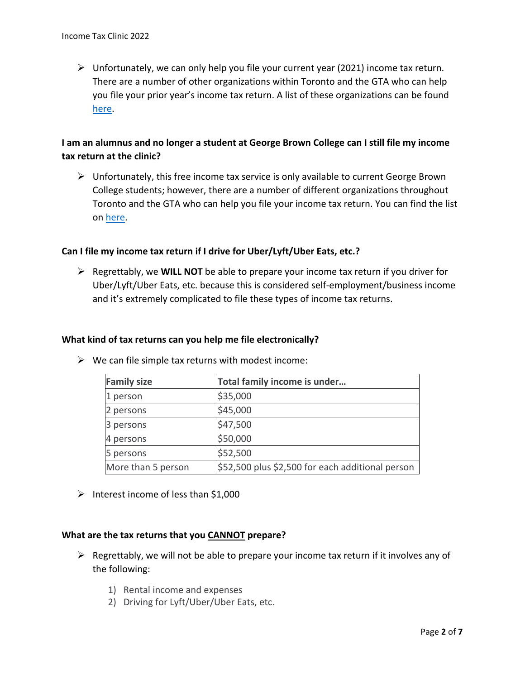$\triangleright$  Unfortunately, we can only help you file your current year (2021) income tax return. There are a number of other organizations within Toronto and the GTA who can help you file your prior year's income tax return. A list of these organizations can be found [here.](https://www.canada.ca/en/revenue-agency/services/tax/individuals/community-volunteer-income-tax-program.html)

## **I am an alumnus and no longer a student at George Brown College can I still file my income tax return at the clinic?**

 $\triangleright$  Unfortunately, this free income tax service is only available to current George Brown College students; however, there are a number of different organizations throughout Toronto and the GTA who can help you file your income tax return. You can find the list on [here.](https://www.canada.ca/en/revenue-agency/services/tax/individuals/community-volunteer-income-tax-program.html)

## **Can I file my income tax return if I drive for Uber/Lyft/Uber Eats, etc.?**

➢ Regrettably, we **WILL NOT** be able to prepare your income tax return if you driver for Uber/Lyft/Uber Eats, etc. because this is considered self-employment/business income and it's extremely complicated to file these types of income tax returns.

#### **What kind of tax returns can you help me file electronically?**

| <b>Family size</b> | Total family income is under                     |
|--------------------|--------------------------------------------------|
| 1 person           | \$35,000                                         |
| 2 persons          | \$45,000                                         |
| 3 persons          | \$47,500                                         |
| 4 persons          | \$50,000                                         |
| 5 persons          | \$52,500                                         |
| More than 5 person | \$52,500 plus \$2,500 for each additional person |

 $\triangleright$  We can file simple tax returns with modest income:

 $\triangleright$  Interest income of less than \$1,000

#### **What are the tax returns that you CANNOT prepare?**

- $\triangleright$  Regrettably, we will not be able to prepare your income tax return if it involves any of the following:
	- 1) Rental income and expenses
	- 2) Driving for Lyft/Uber/Uber Eats, etc.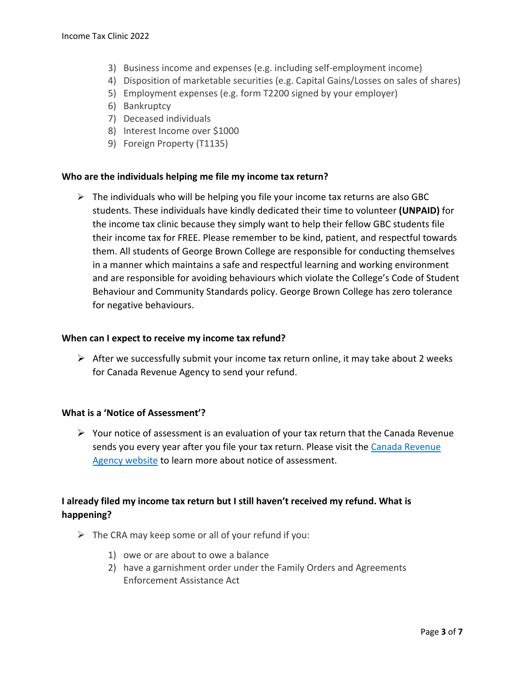- 3) Business income and expenses (e.g. including self-employment income)
- 4) Disposition of marketable securities (e.g. Capital Gains/Losses on sales of shares)
- 5) Employment expenses (e.g. form T2200 signed by your employer)
- 6) Bankruptcy
- 7) Deceased individuals
- 8) Interest Income over \$1000
- 9) Foreign Property (T1135)

#### **Who are the individuals helping me file my income tax return?**

 $\triangleright$  The individuals who will be helping you file your income tax returns are also GBC students. These individuals have kindly dedicated their time to volunteer **(UNPAID)** for the income tax clinic because they simply want to help their fellow GBC students file their income tax for FREE. Please remember to be kind, patient, and respectful towards them. All students of George Brown College are responsible for conducting themselves in a manner which maintains a safe and respectful learning and working environment and are responsible for avoiding behaviours which violate the College's Code of Student Behaviour and Community Standards policy. George Brown College has zero tolerance for negative behaviours.

#### **When can I expect to receive my income tax refund?**

 $\triangleright$  After we successfully submit your income tax return online, it may take about 2 weeks for Canada Revenue Agency to send your refund.

#### **What is a 'Notice of Assessment'?**

 $\triangleright$  Your notice of assessment is an evaluation of your tax return that the Canada Revenue sends you every year after you file your tax return. Please visit the [Canada Revenue](https://www.canada.ca/en/revenue-agency/services/tax/individuals/topics/about-your-tax-return/notice-assessment-understand.html)  [Agency website](https://www.canada.ca/en/revenue-agency/services/tax/individuals/topics/about-your-tax-return/notice-assessment-understand.html) to learn more about notice of assessment.

# **I already filed my income tax return but I still haven't received my refund. What is happening?**

- $\triangleright$  The CRA may keep some or all of your refund if you:
	- 1) owe or are about to owe a balance
	- 2) have a garnishment order under the Family Orders and Agreements Enforcement Assistance Act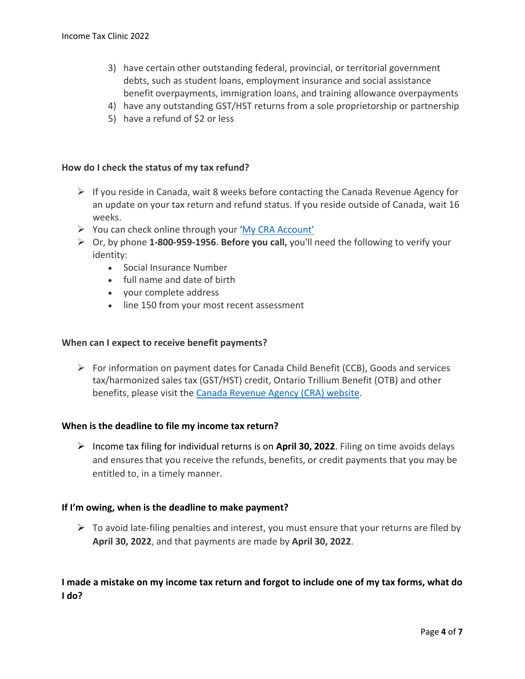- 3) have certain other outstanding federal, provincial, or territorial government debts, such as student loans, employment insurance and social assistance benefit overpayments, immigration loans, and training allowance overpayments
- 4) have any outstanding GST/HST returns from a sole proprietorship or partnership
- 5) have a refund of \$2 or less

#### **How do I check the status of my tax refund?**

- $\triangleright$  If you reside in Canada, wait 8 weeks before contacting the Canada Revenue Agency for an update on your tax return and refund status. If you reside outside of Canada, wait 16 weeks.
- ➢ You can check online through your ['My CRA Account'](https://www.canada.ca/en/revenue-agency/services/e-services/e-services-individuals/account-individuals.html)
- ➢ Or, by phone **1-800-959-1956**. **Before you call,** you'll need the following to verify your identity:
	- Social Insurance Number
	- full name and date of birth
	- your complete address
	- line 150 from your most recent assessment

#### **When can I expect to receive benefit payments?**

➢ For information on payment dates for Canada Child Benefit (CCB), Goods and services tax/harmonized sales tax (GST/HST) credit, Ontario Trillium Benefit (OTB) and other benefits, please visit the [Canada Revenue Agency \(CRA\) website.](https://www.canada.ca/en/revenue-agency/services/child-family-benefits/benefit-payment-dates.html#gst-hst)

#### **When is the deadline to file my income tax return?**

➢ Income tax filing for individual returns is on **April 30, 2022**. Filing on time avoids delays and ensures that you receive the refunds, benefits, or credit payments that you may be entitled to, in a timely manner.

#### **If I'm owing, when is the deadline to make payment?**

 $\triangleright$  To avoid late-filing penalties and interest, you must ensure that your returns are filed by **April 30, 2022**, and that payments are made by **April 30, 2022**.

## **I made a mistake on my income tax return and forgot to include one of my tax forms, what do I do?**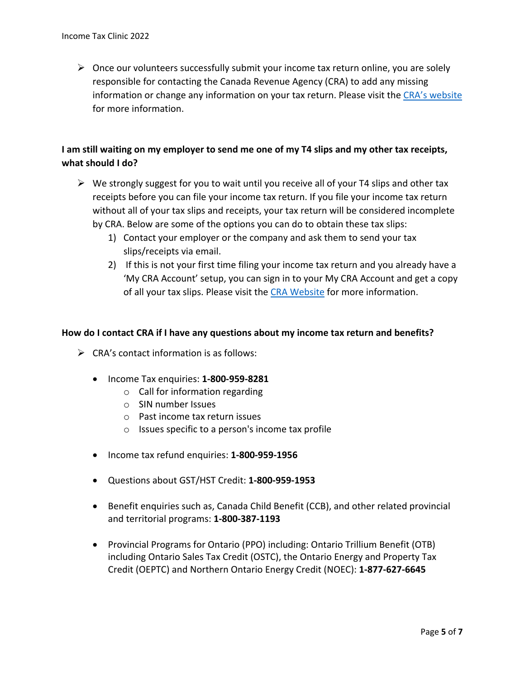$\triangleright$  Once our volunteers successfully submit your income tax return online, you are solely responsible for contacting the Canada Revenue Agency (CRA) to add any missing information or change any information on your tax return. Please visit the [CRA's website](https://www.canada.ca/en/revenue-agency/services/tax/individuals/topics/about-your-tax-return/change-your-return.html) for more information.

# **I am still waiting on my employer to send me one of my T4 slips and my other tax receipts, what should I do?**

- $\triangleright$  We strongly suggest for you to wait until you receive all of your T4 slips and other tax receipts before you can file your income tax return. If you file your income tax return without all of your tax slips and receipts, your tax return will be considered incomplete by CRA. Below are some of the options you can do to obtain these tax slips:
	- 1) Contact your employer or the company and ask them to send your tax slips/receipts via email.
	- 2) If this is not your first time filing your income tax return and you already have a 'My CRA Account' setup, you can sign in to your My CRA Account and get a copy of all your tax slips. Please visit the [CRA Website](https://www.canada.ca/en/revenue-agency/services/tax/individuals/topics/about-your-tax-return/tax-return/completing-a-tax-return/tax-slips/a-copy-your-tax-slips.html) for more information.

## **How do I contact CRA if I have any questions about my income tax return and benefits?**

- $\triangleright$  CRA's contact information is as follows:
	- Income Tax enquiries: **1-800-959-8281**
		- o Call for information regarding
		- o SIN number Issues
		- o Past income tax return issues
		- o Issues specific to a person's income tax profile
	- Income tax refund enquiries: **1-800-959-1956**
	- Questions about GST/HST Credit: **1-800-959-1953**
	- Benefit enquiries such as, Canada Child Benefit (CCB), and other related provincial and territorial programs: **1-800-387-1193**
	- Provincial Programs for Ontario (PPO) including: Ontario Trillium Benefit (OTB) including Ontario Sales Tax Credit (OSTC), the Ontario Energy and Property Tax Credit (OEPTC) and Northern Ontario Energy Credit (NOEC): **1-877-627-6645**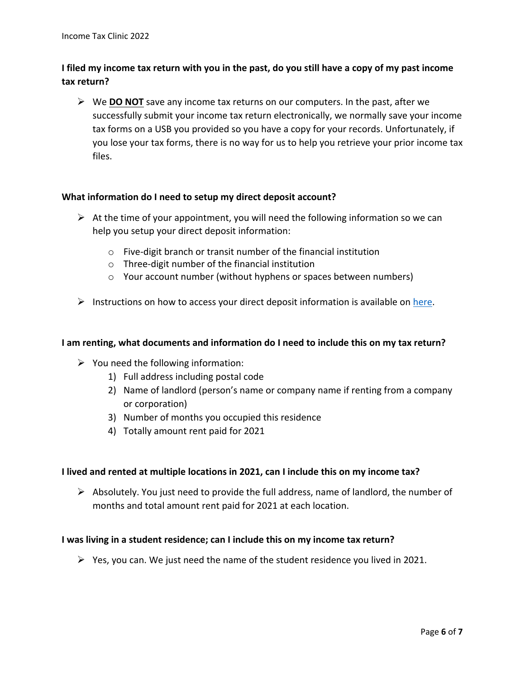# **I filed my income tax return with you in the past, do you still have a copy of my past income tax return?**

➢ We **DO NOT** save any income tax returns on our computers. In the past, after we successfully submit your income tax return electronically, we normally save your income tax forms on a USB you provided so you have a copy for your records. Unfortunately, if you lose your tax forms, there is no way for us to help you retrieve your prior income tax files.

#### **What information do I need to setup my direct deposit account?**

- $\triangleright$  At the time of your appointment, you will need the following information so we can help you setup your direct deposit information:
	- o Five-digit branch or transit number of the financial institution
	- o Three-digit number of the financial institution
	- o Your account number (without hyphens or spaces between numbers)
- $\triangleright$  Instructions on how to access your direct deposit information is available on [here.](https://woodennickel.ladesk.com/427368-Where-to-find-a-PADDD-form-on-your-online-banking)

### **I am renting, what documents and information do I need to include this on my tax return?**

- $\triangleright$  You need the following information:
	- 1) Full address including postal code
	- 2) Name of landlord (person's name or company name if renting from a company or corporation)
	- 3) Number of months you occupied this residence
	- 4) Totally amount rent paid for 2021

## **I lived and rented at multiple locations in 2021, can I include this on my income tax?**

 $\triangleright$  Absolutely. You just need to provide the full address, name of landlord, the number of months and total amount rent paid for 2021 at each location.

#### **I was living in a student residence; can I include this on my income tax return?**

 $\triangleright$  Yes, you can. We just need the name of the student residence you lived in 2021.